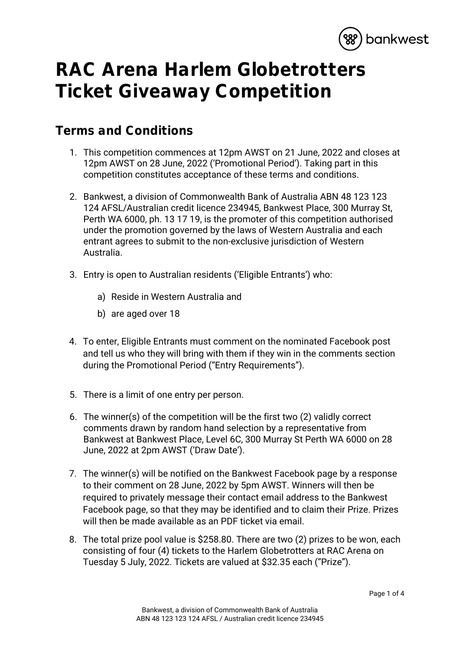

## **RAC Arena Harlem Globetrotters Ticket Giveaway Competition**

## **Terms and Conditions**

- 1. This competition commences at 12pm AWST on 21 June, 2022 and closes at 12pm AWST on 28 June, 2022 ('Promotional Period'). Taking part in this competition constitutes acceptance of these terms and conditions.
- 2. Bankwest, a division of Commonwealth Bank of Australia ABN 48 123 123 124 AFSL/Australian credit licence 234945, Bankwest Place, 300 Murray St, Perth WA 6000, ph. 13 17 19, is the promoter of this competition authorised under the promotion governed by the laws of Western Australia and each entrant agrees to submit to the non-exclusive jurisdiction of Western Australia.
- 3. Entry is open to Australian residents ('Eligible Entrants') who:
	- a) Reside in Western Australia and
	- b) are aged over 18
- 4. To enter, Eligible Entrants must comment on the nominated Facebook post and tell us who they will bring with them if they win in the comments section during the Promotional Period ("Entry Requirements").
- 5. There is a limit of one entry per person.
- 6. The winner(s) of the competition will be the first two (2) validly correct comments drawn by random hand selection by a representative from Bankwest at Bankwest Place, Level 6C, 300 Murray St Perth WA 6000 on 28 June, 2022 at 2pm AWST ('Draw Date').
- 7. The winner(s) will be notified on the Bankwest Facebook page by a response to their comment on 28 June, 2022 by 5pm AWST. Winners will then be required to privately message their contact email address to the Bankwest Facebook page, so that they may be identified and to claim their Prize. Prizes will then be made available as an PDF ticket via email.
- 8. The total prize pool value is \$258.80. There are two (2) prizes to be won, each consisting of four (4) tickets to the Harlem Globetrotters at RAC Arena on Tuesday 5 July, 2022. Tickets are valued at \$32.35 each ("Prize").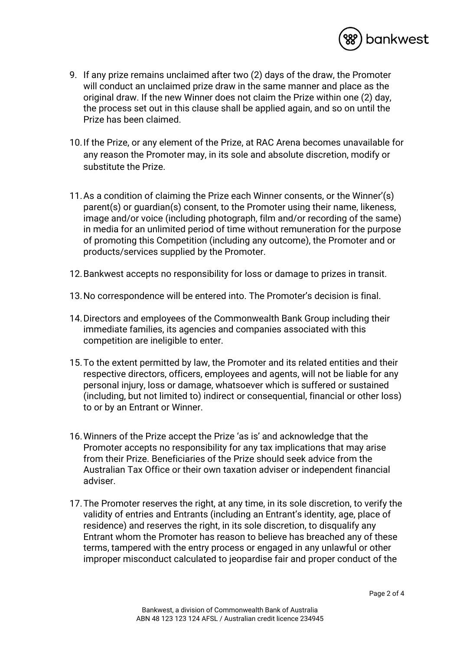

- 9. If any prize remains unclaimed after two (2) days of the draw, the Promoter will conduct an unclaimed prize draw in the same manner and place as the original draw. If the new Winner does not claim the Prize within one (2) day, the process set out in this clause shall be applied again, and so on until the Prize has been claimed.
- 10.If the Prize, or any element of the Prize, at RAC Arena becomes unavailable for any reason the Promoter may, in its sole and absolute discretion, modify or substitute the Prize.
- 11.As a condition of claiming the Prize each Winner consents, or the Winner'(s) parent(s) or guardian(s) consent, to the Promoter using their name, likeness, image and/or voice (including photograph, film and/or recording of the same) in media for an unlimited period of time without remuneration for the purpose of promoting this Competition (including any outcome), the Promoter and or products/services supplied by the Promoter.
- 12.Bankwest accepts no responsibility for loss or damage to prizes in transit.
- 13.No correspondence will be entered into. The Promoter's decision is final.
- 14.Directors and employees of the Commonwealth Bank Group including their immediate families, its agencies and companies associated with this competition are ineligible to enter.
- 15.To the extent permitted by law, the Promoter and its related entities and their respective directors, officers, employees and agents, will not be liable for any personal injury, loss or damage, whatsoever which is suffered or sustained (including, but not limited to) indirect or consequential, financial or other loss) to or by an Entrant or Winner.
- 16.Winners of the Prize accept the Prize 'as is' and acknowledge that the Promoter accepts no responsibility for any tax implications that may arise from their Prize. Beneficiaries of the Prize should seek advice from the Australian Tax Office or their own taxation adviser or independent financial adviser.
- 17.The Promoter reserves the right, at any time, in its sole discretion, to verify the validity of entries and Entrants (including an Entrant's identity, age, place of residence) and reserves the right, in its sole discretion, to disqualify any Entrant whom the Promoter has reason to believe has breached any of these terms, tampered with the entry process or engaged in any unlawful or other improper misconduct calculated to jeopardise fair and proper conduct of the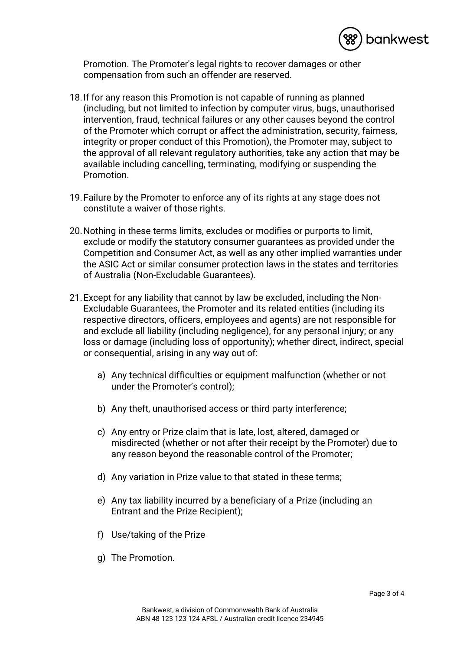

Promotion. The Promoter's legal rights to recover damages or other compensation from such an offender are reserved.

- 18.If for any reason this Promotion is not capable of running as planned (including, but not limited to infection by computer virus, bugs, unauthorised intervention, fraud, technical failures or any other causes beyond the control of the Promoter which corrupt or affect the administration, security, fairness, integrity or proper conduct of this Promotion), the Promoter may, subject to the approval of all relevant regulatory authorities, take any action that may be available including cancelling, terminating, modifying or suspending the Promotion.
- 19.Failure by the Promoter to enforce any of its rights at any stage does not constitute a waiver of those rights.
- 20.Nothing in these terms limits, excludes or modifies or purports to limit, exclude or modify the statutory consumer guarantees as provided under the Competition and Consumer Act, as well as any other implied warranties under the ASIC Act or similar consumer protection laws in the states and territories of Australia (Non-Excludable Guarantees).
- 21.Except for any liability that cannot by law be excluded, including the Non-Excludable Guarantees, the Promoter and its related entities (including its respective directors, officers, employees and agents) are not responsible for and exclude all liability (including negligence), for any personal injury; or any loss or damage (including loss of opportunity); whether direct, indirect, special or consequential, arising in any way out of:
	- a) Any technical difficulties or equipment malfunction (whether or not under the Promoter's control);
	- b) Any theft, unauthorised access or third party interference;
	- c) Any entry or Prize claim that is late, lost, altered, damaged or misdirected (whether or not after their receipt by the Promoter) due to any reason beyond the reasonable control of the Promoter;
	- d) Any variation in Prize value to that stated in these terms;
	- e) Any tax liability incurred by a beneficiary of a Prize (including an Entrant and the Prize Recipient);
	- f) Use/taking of the Prize
	- g) The Promotion.